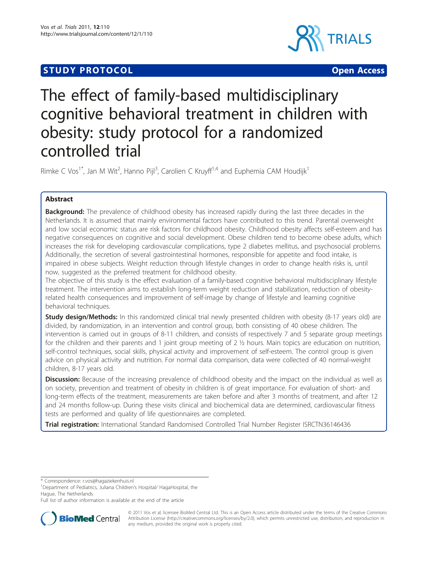## **STUDY PROTOCOL CONSUMING THE CONSUMING OPEN ACCESS**



# The effect of family-based multidisciplinary cognitive behavioral treatment in children with obesity: study protocol for a randomized controlled trial

Rimke C Vos<sup>1\*</sup>, Jan M Wit<sup>2</sup>, Hanno Pijl<sup>3</sup>, Carolien C Kruyff<sup>1,4</sup> and Euphemia CAM Houdijk<sup>1</sup>

### Abstract

**Background:** The prevalence of childhood obesity has increased rapidly during the last three decades in the Netherlands. It is assumed that mainly environmental factors have contributed to this trend. Parental overweight and low social economic status are risk factors for childhood obesity. Childhood obesity affects self-esteem and has negative consequences on cognitive and social development. Obese children tend to become obese adults, which increases the risk for developing cardiovascular complications, type 2 diabetes mellitus, and psychosocial problems. Additionally, the secretion of several gastrointestinal hormones, responsible for appetite and food intake, is impaired in obese subjects. Weight reduction through lifestyle changes in order to change health risks is, until now, suggested as the preferred treatment for childhood obesity.

The objective of this study is the effect evaluation of a family-based cognitive behavioral multidisciplinary lifestyle treatment. The intervention aims to establish long-term weight reduction and stabilization, reduction of obesityrelated health consequences and improvement of self-image by change of lifestyle and learning cognitive behavioral techniques.

**Study design/Methods:** In this randomized clinical trial newly presented children with obesity (8-17 years old) are divided, by randomization, in an intervention and control group, both consisting of 40 obese children. The intervention is carried out in groups of 8-11 children, and consists of respectively 7 and 5 separate group meetings for the children and their parents and 1 joint group meeting of 2 1/2 hours. Main topics are education on nutrition, self-control techniques, social skills, physical activity and improvement of self-esteem. The control group is given advice on physical activity and nutrition. For normal data comparison, data were collected of 40 normal-weight children, 8-17 years old.

Discussion: Because of the increasing prevalence of childhood obesity and the impact on the individual as well as on society, prevention and treatment of obesity in children is of great importance. For evaluation of short- and long-term effects of the treatment, measurements are taken before and after 3 months of treatment, and after 12 and 24 months follow-up. During these visits clinical and biochemical data are determined, cardiovascular fitness tests are performed and quality of life questionnaires are completed.

Trial registration: International Standard Randomised Controlled Trial Number Register [ISRCTN36146436](http://www.controlled-trials.com/ISRCTN36146436)

\* Correspondence: [r.vos@hagaziekenhuis.nl](mailto:r.vos@hagaziekenhuis.nl)

<sup>1</sup>Department of Pediatrics, Juliana Children's Hospital/ HagaHospital, the Hague, The Netherlands

Full list of author information is available at the end of the article



© 2011 Vos et al; licensee BioMed Central Ltd. This is an Open Access article distributed under the terms of the Creative Commons Attribution License [\(http://creativecommons.org/licenses/by/2.0](http://creativecommons.org/licenses/by/2.0)), which permits unrestricted use, distribution, and reproduction in any medium, provided the original work is properly cited.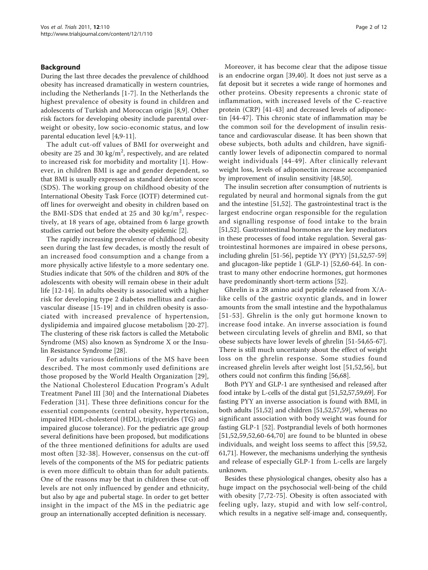#### Background

During the last three decades the prevalence of childhood obesity has increased dramatically in western countries, including the Netherlands [[1-7\]](#page-9-0). In the Netherlands the highest prevalence of obesity is found in children and adolescents of Turkish and Moroccan origin [[8,9\]](#page-9-0). Other risk factors for developing obesity include parental overweight or obesity, low socio-economic status, and low parental education level [\[4,9](#page-9-0)-[11](#page-9-0)].

The adult cut-off values of BMI for overweight and obesity are 25 and 30 kg/m<sup>2</sup>, respectively, and are related to increased risk for morbidity and mortality [\[1](#page-9-0)]. However, in children BMI is age and gender dependent, so that BMI is usually expressed as standard deviation score (SDS). The working group on childhood obesity of the International Obesity Task Force (IOTF) determined cutoff lines for overweight and obesity in children based on the BMI-SDS that ended at 25 and 30 kg/m<sup>2</sup>, respectively, at 18 years of age, obtained from 6 large growth studies carried out before the obesity epidemic [\[2\]](#page-9-0).

The rapidly increasing prevalence of childhood obesity seen during the last few decades, is mostly the result of an increased food consumption and a change from a more physically active lifestyle to a more sedentary one. Studies indicate that 50% of the children and 80% of the adolescents with obesity will remain obese in their adult life [[12-14\]](#page-9-0). In adults obesity is associated with a higher risk for developing type 2 diabetes mellitus and cardiovascular disease [[15-19\]](#page-9-0) and in children obesity is associated with increased prevalence of hypertension, dyslipidemia and impaired glucose metabolism [[20](#page-9-0)-[27](#page-10-0)]. The clustering of these risk factors is called the Metabolic Syndrome (MS) also known as Syndrome X or the Insulin Resistance Syndrome [[28\]](#page-10-0).

For adults various definitions of the MS have been described. The most commonly used definitions are those proposed by the World Health Organization [[29](#page-10-0)], the National Cholesterol Education Program's Adult Treatment Panel III [\[30](#page-10-0)] and the International Diabetes Federation [[31\]](#page-10-0). These three definitions concur for the essential components (central obesity, hypertension, impaired HDL-cholesterol (HDL), triglycerides (TG) and impaired glucose tolerance). For the pediatric age group several definitions have been proposed, but modifications of the three mentioned definitions for adults are used most often [[32](#page-10-0)-[38](#page-10-0)]. However, consensus on the cut-off levels of the components of the MS for pediatric patients is even more difficult to obtain than for adult patients. One of the reasons may be that in children these cut-off levels are not only influenced by gender and ethnicity, but also by age and pubertal stage. In order to get better insight in the impact of the MS in the pediatric age group an internationally accepted definition is necessary.

Moreover, it has become clear that the adipose tissue is an endocrine organ [\[39,40](#page-10-0)]. It does not just serve as a fat deposit but it secretes a wide range of hormones and other proteins. Obesity represents a chronic state of inflammation, with increased levels of the C-reactive protein (CRP) [[41-43](#page-10-0)] and decreased levels of adiponectin [[44](#page-10-0)-[47\]](#page-10-0). This chronic state of inflammation may be the common soil for the development of insulin resistance and cardiovascular disease. It has been shown that obese subjects, both adults and children, have significantly lower levels of adiponectin compared to normal weight individuals [[44](#page-10-0)-[49\]](#page-10-0). After clinically relevant weight loss, levels of adiponectin increase accompanied by improvement of insulin sensitivity [[48,50](#page-10-0)].

The insulin secretion after consumption of nutrients is regulated by neural and hormonal signals from the gut and the intestine [[51,52\]](#page-10-0). The gastrointestinal tract is the largest endocrine organ responsible for the regulation and signalling response of food intake to the brain [[51,52\]](#page-10-0). Gastrointestinal hormones are the key mediators in these processes of food intake regulation. Several gastrointestinal hormones are impaired in obese persons, including ghrelin [[51-56\]](#page-10-0), peptide YY (PYY) [[51,52,57](#page-10-0)-[59](#page-10-0)] and glucagon-like peptide 1 (GLP-1) [[52,60-64\]](#page-10-0). In contrast to many other endocrine hormones, gut hormones have predominantly short-term actions [\[52\]](#page-10-0).

Ghrelin is a 28 amino acid peptide released from X/Alike cells of the gastric oxyntic glands, and in lower amounts from the small intestine and the hypothalamus [[51](#page-10-0)-[53\]](#page-10-0). Ghrelin is the only gut hormone known to increase food intake. An inverse association is found between circulating levels of ghrelin and BMI, so that obese subjects have lower levels of ghrelin [\[51](#page-10-0)-[54,65-](#page-10-0)[67](#page-11-0)]. There is still much uncertainty about the effect of weight loss on the ghrelin response. Some studies found increased ghrelin levels after weight lost [[51,52,56](#page-10-0)], but others could not confirm this finding [\[56,](#page-10-0)[68\]](#page-11-0).

Both PYY and GLP-1 are synthesised and released after food intake by L-cells of the distal gut [\[51,52,57,59](#page-10-0),[69](#page-11-0)]. For fasting PYY an inverse association is found with BMI, in both adults [[51,52](#page-10-0)] and children [[51,52](#page-10-0),[57,59](#page-10-0)], whereas no significant association with body weight was found for fasting GLP-1 [[52](#page-10-0)]. Postprandial levels of both hormones [[51,52,59,52](#page-10-0),[60-64,](#page-10-0)[70](#page-11-0)] are found to be blunted in obese individuals, and weight loss seems to affect this [[59,52](#page-10-0), [61](#page-10-0)[,71](#page-11-0)]. However, the mechanisms underlying the synthesis and release of especially GLP-1 from L-cells are largely unknown.

Besides these physiological changes, obesity also has a huge impact on the psychosocial well-being of the child with obesity [[7](#page-9-0)[,72-75](#page-11-0)]. Obesity is often associated with feeling ugly, lazy, stupid and with low self-control, which results in a negative self-image and, consequently,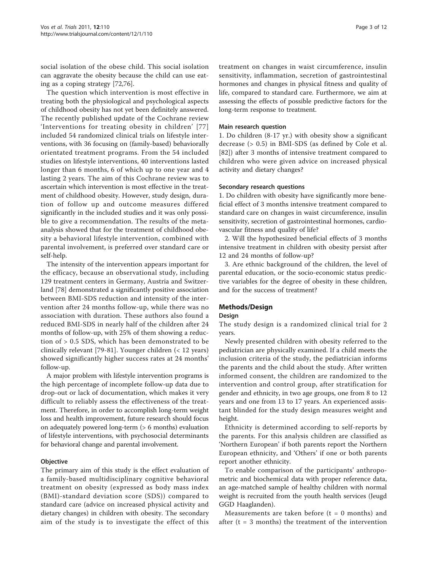social isolation of the obese child. This social isolation can aggravate the obesity because the child can use eating as a coping strategy [\[72,76\]](#page-11-0).

The question which intervention is most effective in treating both the physiological and psychological aspects of childhood obesity has not yet been definitely answered. The recently published update of the Cochrane review 'Interventions for treating obesity in children' [[77](#page-11-0)] included 54 randomized clinical trials on lifestyle interventions, with 36 focusing on (family-based) behaviorally orientated treatment programs. From the 54 included studies on lifestyle interventions, 40 interventions lasted longer than 6 months, 6 of which up to one year and 4 lasting 2 years. The aim of this Cochrane review was to ascertain which intervention is most effective in the treatment of childhood obesity. However, study design, duration of follow up and outcome measures differed significantly in the included studies and it was only possible to give a recommendation. The results of the metaanalysis showed that for the treatment of childhood obesity a behavioral lifestyle intervention, combined with parental involvement, is preferred over standard care or self-help.

The intensity of the intervention appears important for the efficacy, because an observational study, including 129 treatment centers in Germany, Austria and Switzerland [\[78\]](#page-11-0) demonstrated a significantly positive association between BMI-SDS reduction and intensity of the intervention after 24 months follow-up, while there was no association with duration. These authors also found a reduced BMI-SDS in nearly half of the children after 24 months of follow-up, with 25% of them showing a reduction of > 0.5 SDS, which has been demonstrated to be clinically relevant [\[79](#page-11-0)-[81\]](#page-11-0). Younger children (< 12 years) showed significantly higher success rates at 24 months' follow-up.

A major problem with lifestyle intervention programs is the high percentage of incomplete follow-up data due to drop-out or lack of documentation, which makes it very difficult to reliably assess the effectiveness of the treatment. Therefore, in order to accomplish long-term weight loss and health improvement, future research should focus on adequately powered long-term (> 6 months) evaluation of lifestyle interventions, with psychosocial determinants for behavioral change and parental involvement.

#### Objective

The primary aim of this study is the effect evaluation of a family-based multidisciplinary cognitive behavioral treatment on obesity (expressed as body mass index (BMI)-standard deviation score (SDS)) compared to standard care (advice on increased physical activity and dietary changes) in children with obesity. The secondary aim of the study is to investigate the effect of this treatment on changes in waist circumference, insulin sensitivity, inflammation, secretion of gastrointestinal hormones and changes in physical fitness and quality of life, compared to standard care. Furthermore, we aim at assessing the effects of possible predictive factors for the long-term response to treatment.

#### Main research question

1. Do children (8-17 yr.) with obesity show a significant decrease (> 0.5) in BMI-SDS (as defined by Cole et al. [[82\]](#page-11-0)) after 3 months of intensive treatment compared to children who were given advice on increased physical activity and dietary changes?

#### Secondary research questions

1. Do children with obesity have significantly more beneficial effect of 3 months intensive treatment compared to standard care on changes in waist circumference, insulin sensitivity, secretion of gastrointestinal hormones, cardiovascular fitness and quality of life?

2. Will the hypothesized beneficial effects of 3 months intensive treatment in children with obesity persist after 12 and 24 months of follow-up?

3. Are ethnic background of the children, the level of parental education, or the socio-economic status predictive variables for the degree of obesity in these children, and for the success of treatment?

#### Methods/Design

#### Design

The study design is a randomized clinical trial for 2 years.

Newly presented children with obesity referred to the pediatrician are physically examined. If a child meets the inclusion criteria of the study, the pediatrician informs the parents and the child about the study. After written informed consent, the children are randomized to the intervention and control group, after stratification for gender and ethnicity, in two age groups, one from 8 to 12 years and one from 13 to 17 years. An experienced assistant blinded for the study design measures weight and height.

Ethnicity is determined according to self-reports by the parents. For this analysis children are classified as 'Northern European' if both parents report the Northern European ethnicity, and 'Others' if one or both parents report another ethnicity.

To enable comparison of the participants' anthropometric and biochemical data with proper reference data, an age-matched sample of healthy children with normal weight is recruited from the youth health services (Jeugd GGD Haaglanden).

Measurements are taken before  $(t = 0$  months) and after  $(t = 3$  months) the treatment of the intervention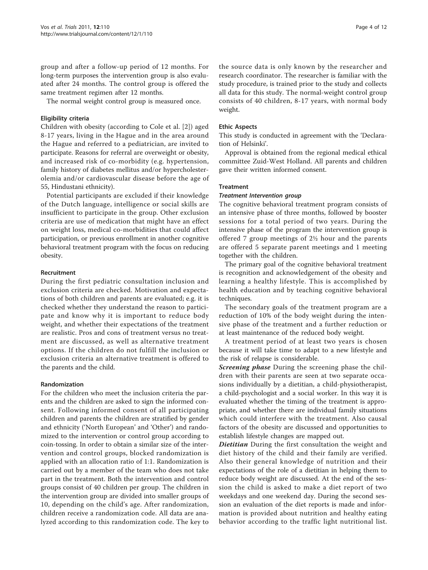group and after a follow-up period of 12 months. For long-term purposes the intervention group is also evaluated after 24 months. The control group is offered the same treatment regimen after 12 months.

The normal weight control group is measured once.

#### Eligibility criteria

Children with obesity (according to Cole et al. [[2\]](#page-9-0)) aged 8-17 years, living in the Hague and in the area around the Hague and referred to a pediatrician, are invited to participate. Reasons for referral are overweight or obesity, and increased risk of co-morbidity (e.g. hypertension, family history of diabetes mellitus and/or hypercholesterolemia and/or cardiovascular disease before the age of 55, Hindustani ethnicity).

Potential participants are excluded if their knowledge of the Dutch language, intelligence or social skills are insufficient to participate in the group. Other exclusion criteria are use of medication that might have an effect on weight loss, medical co-morbidities that could affect participation, or previous enrollment in another cognitive behavioral treatment program with the focus on reducing obesity.

#### Recruitment

During the first pediatric consultation inclusion and exclusion criteria are checked. Motivation and expectations of both children and parents are evaluated; e.g. it is checked whether they understand the reason to participate and know why it is important to reduce body weight, and whether their expectations of the treatment are realistic. Pros and cons of treatment versus no treatment are discussed, as well as alternative treatment options. If the children do not fulfill the inclusion or exclusion criteria an alternative treatment is offered to the parents and the child.

#### Randomization

For the children who meet the inclusion criteria the parents and the children are asked to sign the informed consent. Following informed consent of all participating children and parents the children are stratified by gender and ethnicity ('North European' and 'Other') and randomized to the intervention or control group according to coin-tossing. In order to obtain a similar size of the intervention and control groups, blocked randomization is applied with an allocation ratio of 1:1. Randomization is carried out by a member of the team who does not take part in the treatment. Both the intervention and control groups consist of 40 children per group. The children in the intervention group are divided into smaller groups of 10, depending on the child's age. After randomization, children receive a randomization code. All data are analyzed according to this randomization code. The key to the source data is only known by the researcher and research coordinator. The researcher is familiar with the study procedure, is trained prior to the study and collects all data for this study. The normal-weight control group consists of 40 children, 8-17 years, with normal body weight.

#### Ethic Aspects

This study is conducted in agreement with the 'Declaration of Helsinki'.

Approval is obtained from the regional medical ethical committee Zuid-West Holland. All parents and children gave their written informed consent.

#### **Treatment**

The cognitive behavioral treatment program consists of an intensive phase of three months, followed by booster sessions for a total period of two years. During the intensive phase of the program the intervention group is offered 7 group meetings of 2½ hour and the parents are offered 5 separate parent meetings and 1 meeting together with the children.

The primary goal of the cognitive behavioral treatment is recognition and acknowledgement of the obesity and learning a healthy lifestyle. This is accomplished by health education and by teaching cognitive behavioral techniques.

The secondary goals of the treatment program are a reduction of 10% of the body weight during the intensive phase of the treatment and a further reduction or at least maintenance of the reduced body weight.

A treatment period of at least two years is chosen because it will take time to adapt to a new lifestyle and the risk of relapse is considerable.

Screening phase During the screening phase the children with their parents are seen at two separate occasions individually by a dietitian, a child-physiotherapist, a child-psychologist and a social worker. In this way it is evaluated whether the timing of the treatment is appropriate, and whether there are individual family situations which could interfere with the treatment. Also causal factors of the obesity are discussed and opportunities to establish lifestyle changes are mapped out.

Dietitian During the first consultation the weight and diet history of the child and their family are verified. Also their general knowledge of nutrition and their expectations of the role of a dietitian in helping them to reduce body weight are discussed. At the end of the session the child is asked to make a diet report of two weekdays and one weekend day. During the second session an evaluation of the diet reports is made and information is provided about nutrition and healthy eating behavior according to the traffic light nutritional list.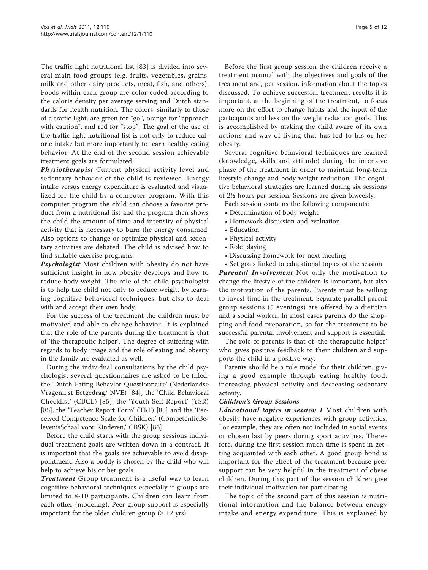The traffic light nutritional list [[83\]](#page-11-0) is divided into several main food groups (e.g. fruits, vegetables, grains, milk and other dairy products, meat, fish, and others). Foods within each group are color coded according to the calorie density per average serving and Dutch standards for health nutrition. The colors, similarly to those of a traffic light, are green for "go", orange for "approach with caution", and red for "stop". The goal of the use of the traffic light nutritional list is not only to reduce calorie intake but more importantly to learn healthy eating behavior. At the end of the second session achievable treatment goals are formulated.

Physiotherapist Current physical activity level and sedentary behavior of the child is reviewed. Energy intake versus energy expenditure is evaluated and visualized for the child by a computer program. With this computer program the child can choose a favorite product from a nutritional list and the program then shows the child the amount of time and intensity of physical activity that is necessary to burn the energy consumed. Also options to change or optimize physical and sedentary activities are debated. The child is advised how to find suitable exercise programs.

Psychologist Most children with obesity do not have sufficient insight in how obesity develops and how to reduce body weight. The role of the child psychologist is to help the child not only to reduce weight by learning cognitive behavioral techniques, but also to deal with and accept their own body.

For the success of the treatment the children must be motivated and able to change behavior. It is explained that the role of the parents during the treatment is that of 'the therapeutic helper'. The degree of suffering with regards to body image and the role of eating and obesity in the family are evaluated as well.

During the individual consultations by the child psychologist several questionnaires are asked to be filled; the 'Dutch Eating Behavior Questionnaire' (Nederlandse Vragenlijst Eetgedrag/ NVE) [\[84](#page-11-0)], the 'Child Behavioral Checklist' (CBCL) [[85\]](#page-11-0), the 'Youth Self Report' (YSR) [[85\]](#page-11-0), the 'Teacher Report Form' (TRF) [[85\]](#page-11-0) and the 'Perceived Competence Scale for Children' (CompetentieBelevenisSchaal voor Kinderen/ CBSK) [[86](#page-11-0)].

Before the child starts with the group sessions individual treatment goals are written down in a contract. It is important that the goals are achievable to avoid disappointment. Also a buddy is chosen by the child who will help to achieve his or her goals.

Treatment Group treatment is a useful way to learn cognitive behavioral techniques especially if groups are limited to 8-10 participants. Children can learn from each other (modeling). Peer group support is especially important for the older children group  $(≥ 12 \text{ yrs}).$ 

Before the first group session the children receive a treatment manual with the objectives and goals of the treatment and, per session, information about the topics discussed. To achieve successful treatment results it is important, at the beginning of the treatment, to focus more on the effort to change habits and the input of the participants and less on the weight reduction goals. This is accomplished by making the child aware of its own actions and way of living that has led to his or her obesity.

Several cognitive behavioral techniques are learned (knowledge, skills and attitude) during the intensive phase of the treatment in order to maintain long-term lifestyle change and body weight reduction. The cognitive behavioral strategies are learned during six sessions of 2½ hours per session. Sessions are given biweekly.

Each session contains the following components:

- Determination of body weight
- Homework discussion and evaluation
- Education
- Physical activity
- Role playing
- Discussing homework for next meeting

• Set goals linked to educational topics of the session

**Parental Involvement** Not only the motivation to change the lifestyle of the children is important, but also the motivation of the parents. Parents must be willing to invest time in the treatment. Separate parallel parent group sessions (5 evenings) are offered by a dietitian and a social worker. In most cases parents do the shopping and food preparation, so for the treatment to be successful parental involvement and support is essential.

The role of parents is that of 'the therapeutic helper' who gives positive feedback to their children and supports the child in a positive way.

Parents should be a role model for their children, giving a good example through eating healthy food, increasing physical activity and decreasing sedentary activity.

#### Children's Group Sessions

Educational topics in session 1 Most children with obesity have negative experiences with group activities. For example, they are often not included in social events or chosen last by peers during sport activities. Therefore, during the first session much time is spent in getting acquainted with each other. A good group bond is important for the effect of the treatment because peer support can be very helpful in the treatment of obese children. During this part of the session children give their individual motivation for participating.

The topic of the second part of this session is nutritional information and the balance between energy intake and energy expenditure. This is explained by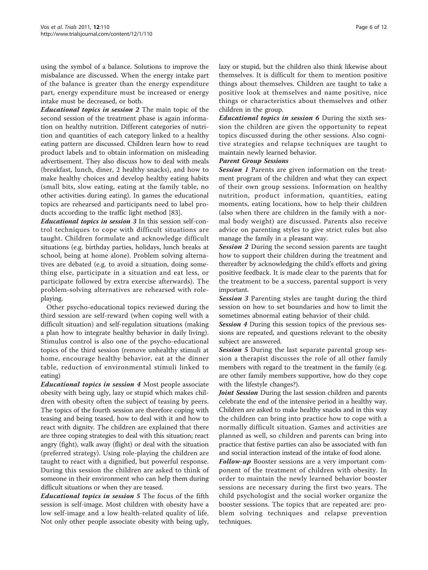using the symbol of a balance. Solutions to improve the misbalance are discussed. When the energy intake part of the balance is greater than the energy expenditure part, energy expenditure must be increased or energy intake must be decreased, or both.

Educational topics in session 2 The main topic of the second session of the treatment phase is again information on healthy nutrition. Different categories of nutrition and quantities of each category linked to a healthy eating pattern are discussed. Children learn how to read product labels and to obtain information on misleading advertisement. They also discuss how to deal with meals (breakfast, lunch, diner, 2 healthy snacks), and how to make healthy choices and develop healthy eating habits (small bits, slow eating, eating at the family table, no other activities during eating). In games the educational topics are rehearsed and participants need to label products according to the traffic light method [\[83](#page-11-0)].

Educational topics in session 3 In this session self-control techniques to cope with difficult situations are taught. Children formulate and acknowledge difficult situations (e.g. birthday parties, holidays, lunch breaks at school, being at home alone). Problem solving alternatives are debated (e.g. to avoid a situation, doing something else, participate in a situation and eat less, or participate followed by extra exercise afterwards). The problem-solving alternatives are rehearsed with roleplaying.

Other psycho-educational topics reviewed during the third session are self-reward (when coping well with a difficult situation) and self-regulation situations (making a plan how to integrate healthy behavior in daily living). Stimulus control is also one of the psycho-educational topics of the third session (remove unhealthy stimuli at home, encourage healthy behavior, eat at the dinner table, reduction of environmental stimuli linked to eating)

Educational topics in session 4 Most people associate obesity with being ugly, lazy or stupid which makes children with obesity often the subject of teasing by peers. The topics of the fourth session are therefore coping with teasing and being teased, how to deal with it and how to react with dignity. The children are explained that there are three coping strategies to deal with this situation; react angry (fight), walk away (flight) or deal with the situation (preferred strategy). Using role-playing the children are taught to react with a dignified, but powerful response. During this session the children are asked to think of someone in their environment who can help them during difficult situations or when they are teased.

Educational topics in session 5 The focus of the fifth session is self-image. Most children with obesity have a low self-image and a low health-related quality of life. Not only other people associate obesity with being ugly, lazy or stupid, but the children also think likewise about themselves. It is difficult for them to mention positive things about themselves. Children are taught to take a positive look at themselves and name positive, nice things or characteristics about themselves and other children in the group.

Educational topics in session 6 During the sixth session the children are given the opportunity to repeat topics discussed during the other sessions. Also cognitive strategies and relapse techniques are taught to maintain newly learned behavior.

#### Parent Group Sessions

Session 1 Parents are given information on the treatment program of the children and what they can expect of their own group sessions. Information on healthy nutrition, product information, quantities, eating moments, eating locations, how to help their children (also when there are children in the family with a normal body weight) are discussed. Parents also receive advice on parenting styles to give strict rules but also manage the family in a pleasant way.

Session 2 During the second session parents are taught how to support their children during the treatment and thereafter by acknowledging the child's efforts and giving positive feedback. It is made clear to the parents that for the treatment to be a success, parental support is very important.

Session 3 Parenting styles are taught during the third session on how to set boundaries and how to limit the sometimes abnormal eating behavior of their child.

**Session 4** During this session topics of the previous sessions are repeated, and questions relevant to the obesity subject are answered.

Session 5 During the last separate parental group session a therapist discusses the role of all other family members with regard to the treatment in the family (e.g. are other family members supportive, how do they cope with the lifestyle changes?).

**Joint Session** During the last session children and parents celebrate the end of the intensive period in a healthy way. Children are asked to make healthy snacks and in this way the children can bring into practice how to cope with a normally difficult situation. Games and activities are planned as well, so children and parents can bring into practice that festive parties can also be associated with fun and social interaction instead of the intake of food alone.

**Follow-up** Booster sessions are a very important component of the treatment of children with obesity. In order to maintain the newly learned behavior booster sessions are necessary during the first two years. The child psychologist and the social worker organize the booster sessions. The topics that are repeated are: problem solving techniques and relapse prevention techniques.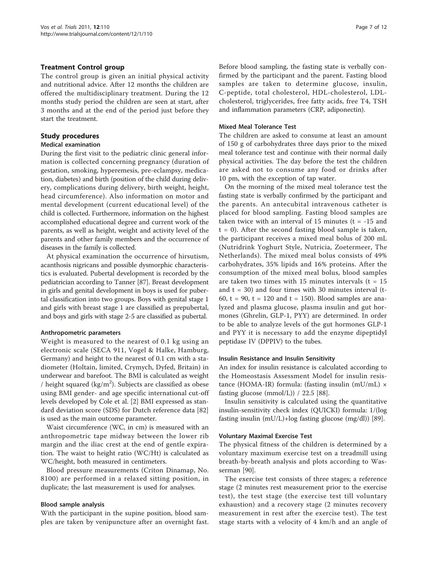#### Treatment Control group

The control group is given an initial physical activity and nutritional advice. After 12 months the children are offered the multidisciplinary treatment. During the 12 months study period the children are seen at start, after 3 months and at the end of the period just before they start the treatment.

#### Study procedures

#### Medical examination

During the first visit to the pediatric clinic general information is collected concerning pregnancy (duration of gestation, smoking, hyperemesis, pre-eclampsy, medication, diabetes) and birth (position of the child during delivery, complications during delivery, birth weight, height, head circumference). Also information on motor and mental development (current educational level) of the child is collected. Furthermore, information on the highest accomplished educational degree and current work of the parents, as well as height, weight and activity level of the parents and other family members and the occurrence of diseases in the family is collected.

At physical examination the occurrence of hirsutism, acanthosis nigricans and possible dysmorphic characteristics is evaluated. Pubertal development is recorded by the pediatrician according to Tanner [\[87\]](#page-11-0). Breast development in girls and genital development in boys is used for pubertal classification into two groups. Boys with genital stage 1 and girls with breast stage 1 are classified as prepubertal, and boys and girls with stage 2-5 are classified as pubertal.

#### Anthropometric parameters

Weight is measured to the nearest of 0.1 kg using an electronic scale (SECA 911, Vogel & Halke, Hamburg, Germany) and height to the nearest of 0.1 cm with a stadiometer (Holtain, limited, Crymych, Dyfed, Britain) in underwear and barefoot. The BMI is calculated as weight / height squared (kg/m<sup>2</sup>). Subjects are classified as obese using BMI gender- and age specific international cut-off levels developed by Cole et al. [[2\]](#page-9-0) BMI expressed as standard deviation score (SDS) for Dutch reference data [\[82](#page-11-0)] is used as the main outcome parameter.

Waist circumference (WC, in cm) is measured with an anthropometric tape midway between the lower rib margin and the iliac crest at the end of gentle expiration. The waist to height ratio (WC/Ht) is calculated as WC/height, both measured in centimeters.

Blood pressure measurements (Criton Dinamap, No. 8100) are performed in a relaxed sitting position, in duplicate; the last measurement is used for analyses.

#### Blood sample analysis

With the participant in the supine position, blood samples are taken by venipuncture after an overnight fast.

Before blood sampling, the fasting state is verbally confirmed by the participant and the parent. Fasting blood samples are taken to determine glucose, insulin, C-peptide, total cholesterol, HDL-cholesterol, LDLcholesterol, triglycerides, free fatty acids, free T4, TSH and inflammation parameters (CRP, adiponectin).

#### Mixed Meal Tolerance Test

The children are asked to consume at least an amount of 150 g of carbohydrates three days prior to the mixed meal tolerance test and continue with their normal daily physical activities. The day before the test the children are asked not to consume any food or drinks after 10 pm, with the exception of tap water.

On the morning of the mixed meal tolerance test the fasting state is verbally confirmed by the participant and the parents. An antecubital intravenous catheter is placed for blood sampling. Fasting blood samples are taken twice with an interval of 15 minutes ( $t = -15$  and  $t = 0$ ). After the second fasting blood sample is taken, the participant receives a mixed meal bolus of 200 mL (Nutridrink Yoghurt Style, Nutricia, Zoetermeer, The Netherlands). The mixed meal bolus consists of 49% carbohydrates, 35% lipids and 16% proteins. After the consumption of the mixed meal bolus, blood samples are taken two times with 15 minutes intervals ( $t = 15$ and  $t = 30$ ) and four times with 30 minutes interval (t-60,  $t = 90$ ,  $t = 120$  and  $t = 150$ ). Blood samples are analyzed and plasma glucose, plasma insulin and gut hormones (Ghrelin, GLP-1, PYY) are determined. In order to be able to analyze levels of the gut hormones GLP-1 and PYY it is necessary to add the enzyme dipeptidyl peptidase IV (DPPIV) to the tubes.

#### Insulin Resistance and Insulin Sensitivity

An index for insulin resistance is calculated according to the Homeostasis Assessment Model for insulin resistance (HOMA-IR) formula: (fasting insulin (mU/mL) × fasting glucose (mmol/L)) / 22.5 [[88](#page-11-0)].

Insulin sensitivity is calculated using the quantitative insulin-sensitivity check index (QUICKI) formula: 1/(log fasting insulin  $(mU/L)$ +log fasting glucose  $(mg/dl)$  [[89](#page-11-0)].

#### Voluntary Maximal Exercise Test

The physical fitness of the children is determined by a voluntary maximum exercise test on a treadmill using breath-by-breath analysis and plots according to Wasserman [[90\]](#page-11-0).

The exercise test consists of three stages; a reference stage (2 minutes rest measurement prior to the exercise test), the test stage (the exercise test till voluntary exhaustion) and a recovery stage (2 minutes recovery measurement in rest after the exercise test). The test stage starts with a velocity of 4 km/h and an angle of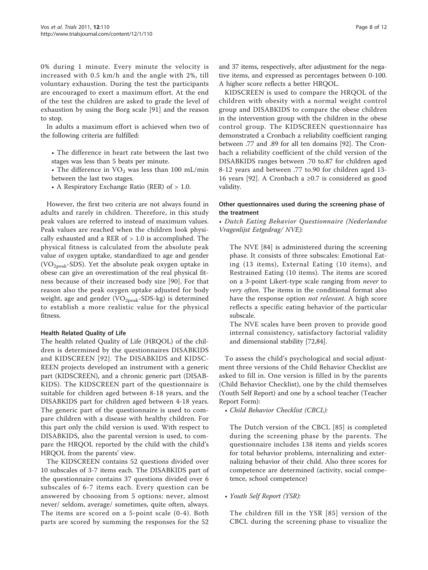0% during 1 minute. Every minute the velocity is increased with 0.5 km/h and the angle with 2%, till voluntary exhaustion. During the test the participants are encouraged to exert a maximum effort. At the end of the test the children are asked to grade the level of exhaustion by using the Borg scale [[91](#page-11-0)] and the reason to stop.

In adults a maximum effort is achieved when two of the following criteria are fulfilled:

- The difference in heart rate between the last two stages was less than 5 beats per minute.
- The difference in  $VO<sub>2</sub>$  was less than 100 mL/min between the last two stages.
- A Respiratory Exchange Ratio (RER) of  $> 1.0$ .

However, the first two criteria are not always found in adults and rarely in children. Therefore, in this study peak values are referred to instead of maximum values. Peak values are reached when the children look physically exhausted and a RER of  $> 1.0$  is accomplished. The physical fitness is calculated from the absolute peak value of oxygen uptake, standardized to age and gender (VO2peak-SDS). Yet the absolute peak oxygen uptake in obese can give an overestimation of the real physical fitness because of their increased body size [\[90](#page-11-0)]. For that reason also the peak oxygen uptake adjusted for body weight, age and gender (VO<sub>2peak</sub>-SDS-kg) is determined to establish a more realistic value for the physical fitness.

#### Health Related Quality of Life

The health related Quality of Life (HRQOL) of the children is determined by the questionnaires DISABKIDS and KIDSCREEN [\[92\]](#page-11-0). The DISABKIDS and KIDSC-REEN projects developed an instrument with a generic part (KIDSCREEN), and a chronic generic part (DISAB-KIDS). The KIDSCREEN part of the questionnaire is suitable for children aged between 8-18 years, and the DISABKIDS part for children aged between 4-18 years. The generic part of the questionnaire is used to compare children with a disease with healthy children. For this part only the child version is used. With respect to DISABKIDS, also the parental version is used, to compare the HRQOL reported by the child with the child's HRQOL from the parents' view.

The KIDSCREEN contains 52 questions divided over 10 subscales of 3-7 items each. The DISABKIDS part of the questionnaire contains 37 questions divided over 6 subscales of 6-7 items each. Every question can be answered by choosing from 5 options: never, almost never/ seldom, average/ sometimes, quite often, always. The items are scored on a 5-point scale (0-4). Both parts are scored by summing the responses for the 52 and 37 items, respectively, after adjustment for the negative items, and expressed as percentages between 0-100. A higher score reflects a better HRQOL.

KIDSCREEN is used to compare the HRQOL of the children with obesity with a normal weight control group and DISABKIDS to compare the obese children in the intervention group with the children in the obese control group. The KIDSCREEN questionnaire has demonstrated a Cronbach a reliability coefficient ranging between .77 and .89 for all ten domains [\[92\]](#page-11-0). The Cronbach a reliability coefficient of the child version of the DISABKIDS ranges between .70 to.87 for children aged 8-12 years and between .77 to.90 for children aged 13- 16 years [[92\]](#page-11-0). A Cronbach a ≥0.7 is considered as good validity.

#### Other questionnaires used during the screening phase of the treatment

#### • Dutch Eating Behavior Questionnaire (Nederlandse Vragenlijst Eetgedrag/ NVE):

The NVE [[84\]](#page-11-0) is administered during the screening phase. It consists of three subscales: Emotional Eating (13 items), External Eating (10 items), and Restrained Eating (10 items). The items are scored on a 3-point Likert-type scale ranging from never to very often. The items in the conditional format also have the response option not relevant. A high score reflects a specific eating behavior of the particular subscale.

The NVE scales have been proven to provide good internal consistency, satisfactory factorial validity and dimensional stability [\[72,84](#page-11-0)].

To assess the child's psychological and social adjustment three versions of the Child Behavior Checklist are asked to fill in. One version is filled in by the parents (Child Behavior Checklist), one by the child themselves (Youth Self Report) and one by a school teacher (Teacher Report Form):

• Child Behavior Checklist (CBCL):

The Dutch version of the CBCL [\[85\]](#page-11-0) is completed during the screening phase by the parents. The questionnaire includes 138 items and yields scores for total behavior problems, internalizing and externalizing behavior of their child. Also three scores for competence are determined (activity, social competence, school competence)

• Youth Self Report (YSR):

The children fill in the YSR [[85](#page-11-0)] version of the CBCL during the screening phase to visualize the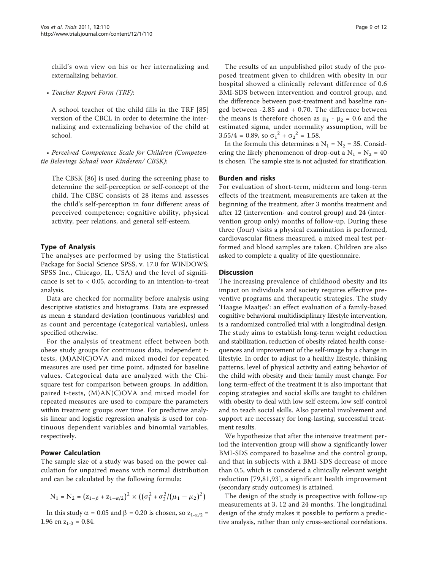child's own view on his or her internalizing and externalizing behavior.

• Teacher Report Form (TRF):

A school teacher of the child fills in the TRF [[85](#page-11-0)] version of the CBCL in order to determine the internalizing and externalizing behavior of the child at school.

• Perceived Competence Scale for Children (Competentie Belevings Schaal voor Kinderen/ CBSK):

The CBSK [\[86\]](#page-11-0) is used during the screening phase to determine the self-perception or self-concept of the child. The CBSC consists of 28 items and assesses the child's self-perception in four different areas of perceived competence; cognitive ability, physical activity, peer relations, and general self-esteem.

#### Type of Analysis

The analyses are performed by using the Statistical Package for Social Science SPSS, v. 17.0 for WINDOWS; SPSS Inc., Chicago, IL, USA) and the level of significance is set to  $< 0.05$ , according to an intention-to-treat analysis.

Data are checked for normality before analysis using descriptive statistics and histograms. Data are expressed as mean ± standard deviation (continuous variables) and as count and percentage (categorical variables), unless specified otherwise.

For the analysis of treatment effect between both obese study groups for continuous data, independent ttests, (M)AN(C)OVA and mixed model for repeated measures are used per time point, adjusted for baseline values. Categorical data are analyzed with the Chisquare test for comparison between groups. In addition, paired t-tests, (M)AN(C)OVA and mixed model for repeated measures are used to compare the parameters within treatment groups over time. For predictive analysis linear and logistic regression analysis is used for continuous dependent variables and binomial variables, respectively.

#### Power Calculation

The sample size of a study was based on the power calculation for unpaired means with normal distribution and can be calculated by the following formula:

$$
N_1 = N_2 = (z_{1-\beta} + z_{1-\alpha/2})^2 \times ((\sigma_1^2 + \sigma_2^2/(\mu_1 - \mu_2)^2))
$$

In this study  $\alpha = 0.05$  and  $\beta = 0.20$  is chosen, so  $z_{1-\alpha/2} =$ 1.96 en  $z_{1-\beta} = 0.84$ .

The results of an unpublished pilot study of the proposed treatment given to children with obesity in our hospital showed a clinically relevant difference of 0.6 BMI-SDS between intervention and control group, and the difference between post-treatment and baseline ranged between  $-2.85$  and  $+0.70$ . The difference between the means is therefore chosen as  $\mu_1$  -  $\mu_2$  = 0.6 and the estimated sigma, under normality assumption, will be  $3.55/4 = 0.89$ , so  $\sigma_1^2 + \sigma_2^2 = 1.58$ .

In the formula this determines a  $N_1 = N_2 = 35$ . Considering the likely phenomenon of drop-out a  $N_1 = N_2 = 40$ is chosen. The sample size is not adjusted for stratification.

#### Burden and risks

For evaluation of short-term, midterm and long-term effects of the treatment, measurements are taken at the beginning of the treatment, after 3 months treatment and after 12 (intervention- and control group) and 24 (intervention group only) months of follow-up. During these three (four) visits a physical examination is performed, cardiovascular fitness measured, a mixed meal test performed and blood samples are taken. Children are also asked to complete a quality of life questionnaire.

#### **Discussion**

The increasing prevalence of childhood obesity and its impact on individuals and society requires effective preventive programs and therapeutic strategies. The study 'Haagse Maatjes': an effect evaluation of a family-based cognitive behavioral multidisciplinary lifestyle intervention, is a randomized controlled trial with a longitudinal design. The study aims to establish long-term weight reduction and stabilization, reduction of obesity related health consequences and improvement of the self-image by a change in lifestyle. In order to adjust to a healthy lifestyle, thinking patterns, level of physical activity and eating behavior of the child with obesity and their family must change. For long term-effect of the treatment it is also important that coping strategies and social skills are taught to children with obesity to deal with low self esteem, low self-control and to teach social skills. Also parental involvement and support are necessary for long-lasting, successful treatment results.

We hypothesize that after the intensive treatment period the intervention group will show a significantly lower BMI-SDS compared to baseline and the control group, and that in subjects with a BMI-SDS decrease of more than 0.5, which is considered a clinically relevant weight reduction [[79,81](#page-11-0),[93](#page-11-0)], a significant health improvement (secondary study outcomes) is attained.

The design of the study is prospective with follow-up measurements at 3, 12 and 24 months. The longitudinal design of the study makes it possible to perform a predictive analysis, rather than only cross-sectional correlations.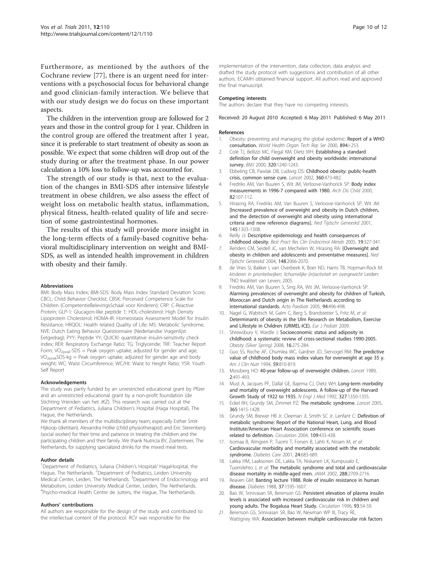<span id="page-9-0"></span>Furthermore, as mentioned by the authors of the Cochrane review [\[77](#page-11-0)], there is an urgent need for interventions with a psychosocial focus for behavioral change and good clinician-family interaction. We believe that with our study design we do focus on these important aspects.

The children in the intervention group are followed for 2 years and those in the control group for 1 year. Children in the control group are offered the treatment after 1 year, since it is preferable to start treatment of obesity as soon as possible. We expect that some children will drop out of the study during or after the treatment phase. In our power calculation a 10% loss to follow-up was accounted for.

The strength of our study is that, next to the evaluation of the changes in BMI-SDS after intensive lifestyle treatment in obese children, we also assess the effect of weight loss on metabolic health status, inflammation, physical fitness, health-related quality of life and secretion of some gastrointestinal hormones.

The results of this study will provide more insight in the long-term effects of a family-based cognitive behavioral multidisciplinary intervention on weight and BMI-SDS, as well as intended health improvement in children with obesity and their family.

#### Abbreviations

BMI: Body Mass Index; BMI-SDS: Body Mass Index Standard Deviation Score; CBCL: Child Behavior Checklist; CBSK: Perceived Competence Scale for Children (CompetentieBelevingsSchaal voor Kinderen); CRP: C-Reactive Protein; GLP-1: Glucagon-like peptide 1; HDL-cholesterol: High Density Lipoprotein Cholesterol; HOMA-IR: Homeostasis Assessment Model for Insulin Resistance; HRQOL: Health related Quality of Life; MS: Metabolic Syndrome; NVE: Dutch Eating Behavior Questionnaire (Nederlandse Vragenlijst Eetgedrag); PYY: Peptide YY; QUICKI: quantitative insulin-sensitivity check index; RER: Respiratory Exchange Ratio; TG: Triglyceride; TRF: Teacher Report Form;  $VO<sub>2peak</sub>SDS = Peak oxygen uptake; adjusted for gender and age;$  $VO<sub>2neak</sub>SDS-kg = Peak oxygen uptake; adjusted for gender age and body$ weight; WC: Waist Circumference; WC/Ht: Waist to Height Ratio; YSR: Youth Self Report

#### Acknowledgements

The study was partly funded by an unrestricted educational grant by Pfizer and an unrestricted educational grant by a non-profit foundation (de Stichting Vrienden van het JKZ). This research was carried out at the Department of Pediatrics, Juliana Children's Hospital (Haga Hospital), The Hague, the Netherlands.

We thank all members of the multidisciplinary team, especially Esther Smit-Hijkoop (dietitian), Alexandra Hotke (child physiotherapist) and Eric Sterenberg (social worker) for their time and patience in treating the children and the participating children and their family. We thank Nutricia BV, Zoetermeer, The Netherlands, for supplying specialized drinks for the mixed meal tests.

#### Author details

<sup>1</sup>Department of Pediatrics, Juliana Children's Hospital/ HagaHospital, the Hague, The Netherlands. <sup>2</sup>Department of Pediatrics, Leiden University Medical Center, Leiden, The Netherlands. <sup>3</sup>Department of Endocrinology and Metabolism, Leiden University Medical Center, Leiden, The Netherlands. 4 Psycho-medical Health Centre de Jutters, the Hague, The Netherlands.

#### Authors' contributions

All authors are responsible for the design of the study and contributed to the intellectual content of the protocol. RCV was responsible for the

implementation of the intervention, data collection, data analysis and drafted the study protocol with suggestions and contribution of all other authors. ECAMH obtained financial support. All authors read and approved the final manuscript.

#### Competing interests

The authors declare that they have no competing interests.

Received: 20 August 2010 Accepted: 6 May 2011 Published: 6 May 2011

#### References

- 1. Obesity: preventing and managing the global epidemic: [Report of a WHO](http://www.ncbi.nlm.nih.gov/pubmed/11234459?dopt=Abstract) [consultation.](http://www.ncbi.nlm.nih.gov/pubmed/11234459?dopt=Abstract) World Health Organ Tech Rep Ser 2000, 894:i-253.
- 2. Cole TJ, Bellizzi MC, Flegal KM, Dietz WH: [Establishing a standard](http://www.ncbi.nlm.nih.gov/pubmed/10797032?dopt=Abstract) [definition for child overweight and obesity worldwide: international](http://www.ncbi.nlm.nih.gov/pubmed/10797032?dopt=Abstract) [survey.](http://www.ncbi.nlm.nih.gov/pubmed/10797032?dopt=Abstract) BMJ 2000, 320:1240-1243.
- 3. Ebbeling CB, Pawlak DB, Ludwig DS: [Childhood obesity: public-health](http://www.ncbi.nlm.nih.gov/pubmed/12241736?dopt=Abstract) [crisis, common sense cure.](http://www.ncbi.nlm.nih.gov/pubmed/12241736?dopt=Abstract) Lancet 2002, 360:473-482.
- 4. Fredriks AM, Van Buuren S, Wit JM, Verloove-Vanhorick SP: [Body index](http://www.ncbi.nlm.nih.gov/pubmed/10648362?dopt=Abstract) [measurements in 1996-7 compared with 1980.](http://www.ncbi.nlm.nih.gov/pubmed/10648362?dopt=Abstract) Arch Dis Child 2000, 82:107-112.
- 5. Hirasing RA, Fredriks AM, Van Buuren S, Verloove-Vanhorick SP, Wit JM: [\[Increased prevalence of overweight and obesity in Dutch children,](http://www.ncbi.nlm.nih.gov/pubmed/11475021?dopt=Abstract) [and the detection of overweight and obesity using international](http://www.ncbi.nlm.nih.gov/pubmed/11475021?dopt=Abstract) [criteria and new reference diagrams\].](http://www.ncbi.nlm.nih.gov/pubmed/11475021?dopt=Abstract) Ned Tijdschr Geneeskd 2001, 145:1303-1308.
- 6. Reilly JJ: [Descriptive epidemiology and health consequences of](http://www.ncbi.nlm.nih.gov/pubmed/16150378?dopt=Abstract) [childhood obesity.](http://www.ncbi.nlm.nih.gov/pubmed/16150378?dopt=Abstract) Best Pract Res Clin Endocrinol Metab 2005, 19:327-341.
- 7. Renders CM, Seidell JC, van Mechelen W, Hirasing RA: [\[Overweight and](http://www.ncbi.nlm.nih.gov/pubmed/15532328?dopt=Abstract) [obesity in children and adolescents and preventative measures\].](http://www.ncbi.nlm.nih.gov/pubmed/15532328?dopt=Abstract) Ned Tijdschr Geneeskd 2004, 148:2066-2070.
- 8. de Vries SI, Bakker I, van Overbeek K, Boer ND, Harris TB, Hopman-Rock M: kinderen in prioriteitwijken: lichamelijke (in)activiteit en overgewicht Leiden: TNO kwaliteit van Leven; 2005.
- 9. Fredriks AM, Van Buuren S, Sing RA, Wit JM, Verloove-Vanhorick SP: [Alarming prevalences of overweight and obesity for children of Turkish,](http://www.ncbi.nlm.nih.gov/pubmed/16092466?dopt=Abstract) [Moroccan and Dutch origin in The Netherlands according to](http://www.ncbi.nlm.nih.gov/pubmed/16092466?dopt=Abstract) [international standards.](http://www.ncbi.nlm.nih.gov/pubmed/16092466?dopt=Abstract) Acta Paediatr 2005, 94:496-498.
- 10. Nagel G, Wabitsch M, Galm C, Berg S, Brandstetter S, Fritz M, et al: Determinants of obesity in the Ulm Research on Metabolism, Exercise and Lifestyle in Children (URMEL-ICE). Eur J Pediatr 2009.
- 11. Shrewsbury V, Wardle J: Socioeconomic status and adiposity in childhood: a systematic review of cross-sectional studies 1990-2005. Obesity (Silver Spring) 2008, 16:275-284.
- 12. Guo SS, Roche AF, Chumlea WC, Gardner JD, Siervogel RM: [The predictive](http://www.ncbi.nlm.nih.gov/pubmed/8147324?dopt=Abstract) [value of childhood body mass index values for overweight at age 35 y.](http://www.ncbi.nlm.nih.gov/pubmed/8147324?dopt=Abstract) Am J Clin Nutr 1994, 59:810-819.
- 13. Mossberg HO: [40-year follow-up of overweight children.](http://www.ncbi.nlm.nih.gov/pubmed/2570196?dopt=Abstract) Lancet 1989, 2:491-493.
- 14. Must A, Jacques PF, Dallal GE, Bajema CJ, Dietz WH: [Long-term morbidity](http://www.ncbi.nlm.nih.gov/pubmed/1406836?dopt=Abstract) [and mortality of overweight adolescents. A follow-up of the Harvard](http://www.ncbi.nlm.nih.gov/pubmed/1406836?dopt=Abstract) [Growth Study of 1922 to 1935.](http://www.ncbi.nlm.nih.gov/pubmed/1406836?dopt=Abstract) N Engl J Med 1992, 327:1350-1355.
- 15. Eckel RH, Grundy SM, Zimmet PZ: [The metabolic syndrome.](http://www.ncbi.nlm.nih.gov/pubmed/15836891?dopt=Abstract) Lancet 2005, 365:1415-1428.
- 16. Grundy SM, Brewer HB Jr, Cleeman JI, Smith SC Jr, Lenfant C: [Definition of](http://www.ncbi.nlm.nih.gov/pubmed/14744958?dopt=Abstract) [metabolic syndrome: Report of the National Heart, Lung, and Blood](http://www.ncbi.nlm.nih.gov/pubmed/14744958?dopt=Abstract) [Institute/American Heart Association conference on scientific issues](http://www.ncbi.nlm.nih.gov/pubmed/14744958?dopt=Abstract) [related to definition.](http://www.ncbi.nlm.nih.gov/pubmed/14744958?dopt=Abstract) Circulation 2004, 109:433-438.
- 17. Isomaa B, Almgren P, Tuomi T, Forsen B, Lahti K, Nissen M, et al: [Cardiovascular morbidity and mortality associated with the metabolic](http://www.ncbi.nlm.nih.gov/pubmed/11315831?dopt=Abstract) [syndrome.](http://www.ncbi.nlm.nih.gov/pubmed/11315831?dopt=Abstract) Diabetes Care 2001, 24:683-689.
- 18. Lakka HM, Laaksonen DE, Lakka TA, Niskanen LK, Kumpusalo E, Tuomilehto J, et al: [The metabolic syndrome and total and cardiovascular](http://www.ncbi.nlm.nih.gov/pubmed/12460094?dopt=Abstract) [disease mortality in middle-aged men.](http://www.ncbi.nlm.nih.gov/pubmed/12460094?dopt=Abstract) JAMA 2002, 288:2709-2716.
- 19. Reaven GM: [Banting lecture 1988. Role of insulin resistance in human](http://www.ncbi.nlm.nih.gov/pubmed/3056758?dopt=Abstract) [disease.](http://www.ncbi.nlm.nih.gov/pubmed/3056758?dopt=Abstract) Diabetes 1988, 37:1595-1607.
- 20. Bao W, Srinivasan SR, Berenson GS: [Persistent elevation of plasma insulin](http://www.ncbi.nlm.nih.gov/pubmed/8616941?dopt=Abstract) [levels is associated with increased cardiovascular risk in children and](http://www.ncbi.nlm.nih.gov/pubmed/8616941?dopt=Abstract) [young adults. The Bogalusa Heart Study.](http://www.ncbi.nlm.nih.gov/pubmed/8616941?dopt=Abstract) Circulation 1996, 93:54-59.
- Berenson GS, Srinivasan SR, Bao W, Newman WP III, Tracy RE, Wattigney WA: [Association between multiple cardiovascular risk factors](http://www.ncbi.nlm.nih.gov/pubmed/9614255?dopt=Abstract)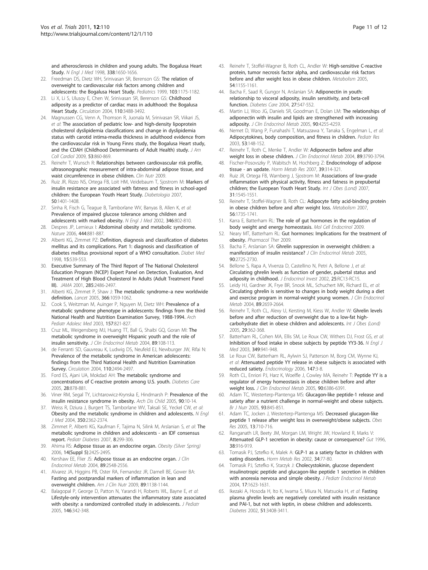<span id="page-10-0"></span>[and atherosclerosis in children and young adults. The Bogalusa Heart](http://www.ncbi.nlm.nih.gov/pubmed/9614255?dopt=Abstract) [Study.](http://www.ncbi.nlm.nih.gov/pubmed/9614255?dopt=Abstract) N Engl J Med 1998, 338:1650-1656.

- 22. Freedman DS, Dietz WH, Srinivasan SR, Berenson GS: [The relation of](http://www.ncbi.nlm.nih.gov/pubmed/10353925?dopt=Abstract) [overweight to cardiovascular risk factors among children and](http://www.ncbi.nlm.nih.gov/pubmed/10353925?dopt=Abstract) [adolescents: the Bogalusa Heart Study.](http://www.ncbi.nlm.nih.gov/pubmed/10353925?dopt=Abstract) Pediatrics 1999, 103:1175-1182.
- 23. Li X, Li S, Ulusoy E, Chen W, Srinivasan SR, Berenson GS: [Childhood](http://www.ncbi.nlm.nih.gov/pubmed/15557363?dopt=Abstract) [adiposity as a predictor of cardiac mass in adulthood: the Bogalusa](http://www.ncbi.nlm.nih.gov/pubmed/15557363?dopt=Abstract) [Heart Study.](http://www.ncbi.nlm.nih.gov/pubmed/15557363?dopt=Abstract) Circulation 2004, 110:3488-3492.
- 24. Magnussen CG, Venn A, Thomson R, Juonala M, Srinivasan SR, Viikari JS, et al: [The association of pediatric low- and high-density lipoprotein](http://www.ncbi.nlm.nih.gov/pubmed/19264243?dopt=Abstract) [cholesterol dyslipidemia classifications and change in dyslipidemia](http://www.ncbi.nlm.nih.gov/pubmed/19264243?dopt=Abstract) [status with carotid intima-media thickness in adulthood evidence from](http://www.ncbi.nlm.nih.gov/pubmed/19264243?dopt=Abstract) [the cardiovascular risk in Young Finns study, the Bogalusa Heart study,](http://www.ncbi.nlm.nih.gov/pubmed/19264243?dopt=Abstract) [and the CDAH \(Childhood Determinants of Adult Health\) study.](http://www.ncbi.nlm.nih.gov/pubmed/19264243?dopt=Abstract) J Am Coll Cardiol 2009, 53:860-869.
- 25. Reinehr T, Wunsch R: Relationships between cardiovascular risk profile, ultrasonographic measurement of intra-abdominal adipose tissue, and waist circumference in obese children. Clin Nutr 2009.
- 26. Ruiz JR, Rizzo NS, Ortega FB, Loit HM, Veidebaum T, Sjostrom M: [Markers of](http://www.ncbi.nlm.nih.gov/pubmed/17492430?dopt=Abstract) [insulin resistance are associated with fatness and fitness in school-aged](http://www.ncbi.nlm.nih.gov/pubmed/17492430?dopt=Abstract) [children: the European Youth Heart Study.](http://www.ncbi.nlm.nih.gov/pubmed/17492430?dopt=Abstract) Diabetologia 2007, 50:1401-1408.
- 27. Sinha R, Fisch G, Teague B, Tamborlane WV, Banyas B, Allen K, et al: [Prevalence of impaired glucose tolerance among children and](http://www.ncbi.nlm.nih.gov/pubmed/11893791?dopt=Abstract) [adolescents with marked obesity.](http://www.ncbi.nlm.nih.gov/pubmed/11893791?dopt=Abstract) N Engl J Med 2002, 346:802-810.
- 28. Despres JP, Lemieux I: [Abdominal obesity and metabolic syndrome.](http://www.ncbi.nlm.nih.gov/pubmed/17167477?dopt=Abstract) Nature 2006, 444:881-887.
- 29. Alberti KG, Zimmet PZ: [Definition, diagnosis and classification of diabetes](http://www.ncbi.nlm.nih.gov/pubmed/9686693?dopt=Abstract) [mellitus and its complications. Part 1: diagnosis and classification of](http://www.ncbi.nlm.nih.gov/pubmed/9686693?dopt=Abstract) [diabetes mellitus provisional report of a WHO consultation.](http://www.ncbi.nlm.nih.gov/pubmed/9686693?dopt=Abstract) Diabet Med 1998, 15:539-553.
- 30. Executive Summary of The Third Report of The National Cholesterol Education Program (NCEP) Expert Panel on Detection, Evaluation, And Treatment of High Blood Cholesterol In Adults (Adult Treatment Panel III). JAMA 2001, 285:2486-2497.
- 31. Alberti KG, Zimmet P, Shaw J: [The metabolic syndrome](http://www.ncbi.nlm.nih.gov/pubmed/16182882?dopt=Abstract)–a new worldwide [definition.](http://www.ncbi.nlm.nih.gov/pubmed/16182882?dopt=Abstract) Lancet 2005, 366:1059-1062.
- 32. Cook S, Weitzman M, Auinger P, Nguyen M, Dietz WH: [Prevalence of a](http://www.ncbi.nlm.nih.gov/pubmed/12912790?dopt=Abstract) [metabolic syndrome phenotype in adolescents: findings from the third](http://www.ncbi.nlm.nih.gov/pubmed/12912790?dopt=Abstract) [National Health and Nutrition Examination Survey, 1988-1994.](http://www.ncbi.nlm.nih.gov/pubmed/12912790?dopt=Abstract) Arch Pediatr Adolesc Med 2003, 157:821-827.
- 33. Cruz ML, Weigensberg MJ, Huang TT, Ball G, Shaibi GQ, Goran MI: [The](http://www.ncbi.nlm.nih.gov/pubmed/14715836?dopt=Abstract) [metabolic syndrome in overweight Hispanic youth and the role of](http://www.ncbi.nlm.nih.gov/pubmed/14715836?dopt=Abstract) [insulin sensitivity.](http://www.ncbi.nlm.nih.gov/pubmed/14715836?dopt=Abstract) J Clin Endocrinol Metab 2004, 89:108-113.
- 34. de Ferranti SD, Gauvreau K, Ludwig DS, Neufeld EJ, Newburger JW, Rifai N: [Prevalence of the metabolic syndrome in American adolescents:](http://www.ncbi.nlm.nih.gov/pubmed/15477412?dopt=Abstract) [findings from the Third National Health and Nutrition Examination](http://www.ncbi.nlm.nih.gov/pubmed/15477412?dopt=Abstract) [Survey.](http://www.ncbi.nlm.nih.gov/pubmed/15477412?dopt=Abstract) Circulation 2004, 110:2494-2497.
- 35. Ford ES, Ajani UA, Mokdad AH: [The metabolic syndrome and](http://www.ncbi.nlm.nih.gov/pubmed/15793189?dopt=Abstract) [concentrations of C-reactive protein among U.S. youth.](http://www.ncbi.nlm.nih.gov/pubmed/15793189?dopt=Abstract) Diabetes Care 2005, 28:878-881.
- 36. Viner RM, Segal TY, Lichtarowicz-Krynska E, Hindmarsh P: [Prevalence of the](http://www.ncbi.nlm.nih.gov/pubmed/15613503?dopt=Abstract) [insulin resistance syndrome in obesity.](http://www.ncbi.nlm.nih.gov/pubmed/15613503?dopt=Abstract) Arch Dis Child 2005, 90:10-14.
- 37. Weiss R, Dziura J, Burgert TS, Tamborlane WV, Taksali SE, Yeckel CW, et al: [Obesity and the metabolic syndrome in children and adolescents.](http://www.ncbi.nlm.nih.gov/pubmed/15175438?dopt=Abstract) N Engl J Med 2004, 350:2362-2374.
- 38. Zimmet P, Alberti KG, Kaufman F, Tajima N, Silink M, Arslanian S, et al: [The](http://www.ncbi.nlm.nih.gov/pubmed/17850473?dopt=Abstract) [metabolic syndrome in children and adolescents - an IDF consensus](http://www.ncbi.nlm.nih.gov/pubmed/17850473?dopt=Abstract) [report.](http://www.ncbi.nlm.nih.gov/pubmed/17850473?dopt=Abstract) Pediatr Diabetes 2007, 8:299-306.
- 39. Ahima RS: Adipose tissue as an endocrine organ. Obesity (Silver Spring) 2006, 14(Suppl 5):242S-249S.
- 40. Kershaw EE, Flier JS: [Adipose tissue as an endocrine organ.](http://www.ncbi.nlm.nih.gov/pubmed/15181022?dopt=Abstract) J Clin Endocrinol Metab 2004, 89:2548-2556.
- 41. Alvarez JA, Higgins PB, Oster RA, Fernandez JR, Darnell BE, Gower BA: [Fasting and postprandial markers of inflammation in lean and](http://www.ncbi.nlm.nih.gov/pubmed/19211818?dopt=Abstract) [overweight children.](http://www.ncbi.nlm.nih.gov/pubmed/19211818?dopt=Abstract) Am J Clin Nutr 2009, 89:1138-1144.
- 42. Balagopal P, George D, Patton N, Yarandi H, Roberts WL, Bayne E, et al: [Lifestyle-only intervention attenuates the inflammatory state associated](http://www.ncbi.nlm.nih.gov/pubmed/15756217?dopt=Abstract) [with obesity: a randomized controlled study in adolescents.](http://www.ncbi.nlm.nih.gov/pubmed/15756217?dopt=Abstract) J Pediatr 2005, 146:342-348.
- 43. Reinehr T, Stoffel-Wagner B, Roth CL, Andler W: [High-sensitive C-reactive](http://www.ncbi.nlm.nih.gov/pubmed/16125526?dopt=Abstract) [protein, tumor necrosis factor alpha, and cardiovascular risk factors](http://www.ncbi.nlm.nih.gov/pubmed/16125526?dopt=Abstract) [before and after weight loss in obese children.](http://www.ncbi.nlm.nih.gov/pubmed/16125526?dopt=Abstract) Metabolism 2005, 54:1155-1161.
- 44. Bacha F, Saad R, Gungor N, Arslanian SA: [Adiponectin in youth:](http://www.ncbi.nlm.nih.gov/pubmed/14747242?dopt=Abstract) [relationship to visceral adiposity, insulin sensitivity, and beta-cell](http://www.ncbi.nlm.nih.gov/pubmed/14747242?dopt=Abstract) [function.](http://www.ncbi.nlm.nih.gov/pubmed/14747242?dopt=Abstract) Diabetes Care 2004, 27:547-552.
- 45. Martin LJ, Woo JG, Daniels SR, Goodman E, Dolan LM: [The relationships of](http://www.ncbi.nlm.nih.gov/pubmed/15870125?dopt=Abstract) [adiponectin with insulin and lipids are strengthened with increasing](http://www.ncbi.nlm.nih.gov/pubmed/15870125?dopt=Abstract) [adiposity.](http://www.ncbi.nlm.nih.gov/pubmed/15870125?dopt=Abstract) J Clin Endocrinol Metab 2005, 90:4255-4259.
- 46. Nemet D, Wang P, Funahashi T, Matsuzawa Y, Tanaka S, Engelman L, et al: [Adipocytokines, body composition, and fitness in children.](http://www.ncbi.nlm.nih.gov/pubmed/12508095?dopt=Abstract) Pediatr Res 2003, 53:148-152.
- 47. Reinehr T, Roth C, Menke T, Andler W: [Adiponectin before and after](http://www.ncbi.nlm.nih.gov/pubmed/15292306?dopt=Abstract) [weight loss in obese children.](http://www.ncbi.nlm.nih.gov/pubmed/15292306?dopt=Abstract) J Clin Endocrinol Metab 2004, 89:3790-3794.
- Fischer-Posovszky P, Wabitsch M, Hochberg Z: [Endocrinology](http://www.ncbi.nlm.nih.gov/pubmed/17533572?dopt=Abstract) of adipose [tissue - an update.](http://www.ncbi.nlm.nih.gov/pubmed/17533572?dopt=Abstract) Horm Metab Res 2007, 39:314-321.
- 49. Ruiz JR, Ortega FB, Warnberg J, Sjostrom M: Associations of low-grade inflammation with physical activity, fitness and fatness in prepubertal children; the European Youth Heart Study. Int J Obes (Lond) 2007, 31:1545-1551.
- 50. Reinehr T, Stoffel-Wagner B, Roth CL: [Adipocyte fatty acid-binding protein](http://www.ncbi.nlm.nih.gov/pubmed/17998029?dopt=Abstract) [in obese children before and after weight loss.](http://www.ncbi.nlm.nih.gov/pubmed/17998029?dopt=Abstract) Metabolism 2007, 56:1735-1741.
- 51. Karra E, Batterham RL: The role of gut hormones in the regulation of body weight and energy homeostasis. Mol Cell Endocrinol 2009.
- 52. Neary MT, Batterham RL: Gut hormones: Implications for the treatment of obesity. Pharmacol Ther 2009.
- 53. Bacha F, Arslanian SA: [Ghrelin suppression in overweight children: a](http://www.ncbi.nlm.nih.gov/pubmed/15728212?dopt=Abstract) [manifestation of insulin resistance?](http://www.ncbi.nlm.nih.gov/pubmed/15728212?dopt=Abstract) J Clin Endocrinol Metab 2005, 90:2725-2730.
- Bellone S, Rapa A, Vivenza D, Castellino N, Petri A, Bellone J, et al: [Circulating ghrelin levels as function of gender, pubertal status and](http://www.ncbi.nlm.nih.gov/pubmed/12035950?dopt=Abstract) [adiposity in childhood.](http://www.ncbi.nlm.nih.gov/pubmed/12035950?dopt=Abstract) J Endocrinol Invest 2002, 25:RC13-RC15.
- 55. Leidy HJ, Gardner JK, Frye BR, Snook ML, Schuchert MK, Richard EL, et al: [Circulating ghrelin is sensitive to changes in body weight during a diet](http://www.ncbi.nlm.nih.gov/pubmed/15181038?dopt=Abstract) [and exercise program in normal-weight young women.](http://www.ncbi.nlm.nih.gov/pubmed/15181038?dopt=Abstract) J Clin Endocrinol Metab 2004, 89:2659-2664.
- 56. Reinehr T, Roth CL, Alexy U, Kersting M, Kiess W, Andler W: Ghrelin levels before and after reduction of overweight due to a low-fat highcarbohydrate diet in obese children and adolescents. Int J Obes (Lond) 2005, 29:362-368.
- 57. Batterham RL, Cohen MA, Ellis SM, Le Roux CW, Withers DJ, Frost GS, et al: [Inhibition of food intake in obese subjects by peptide YY3-36.](http://www.ncbi.nlm.nih.gov/pubmed/12954742?dopt=Abstract) N Engl J Med 2003, 349:941-948.
- 58. Le Roux CW, Batterham RL, Aylwin SJ, Patterson M, Borg CM, Wynne KJ, et al: [Attenuated peptide YY release in obese subjects is associated with](http://www.ncbi.nlm.nih.gov/pubmed/16166213?dopt=Abstract) [reduced satiety.](http://www.ncbi.nlm.nih.gov/pubmed/16166213?dopt=Abstract) Endocrinology 2006, 147:3-8.
- 59. Roth CL, Enriori PJ, Harz K, Woelfle J, Cowley MA, Reinehr T: [Peptide YY is a](http://www.ncbi.nlm.nih.gov/pubmed/16204364?dopt=Abstract) [regulator of energy homeostasis in obese children before and after](http://www.ncbi.nlm.nih.gov/pubmed/16204364?dopt=Abstract) [weight loss.](http://www.ncbi.nlm.nih.gov/pubmed/16204364?dopt=Abstract) J Clin Endocrinol Metab 2005, 90:6386-6391
- 60. Adam TC, Westerterp-Plantenga MS: [Glucagon-like peptide-1 release and](http://www.ncbi.nlm.nih.gov/pubmed/16022753?dopt=Abstract) [satiety after a nutrient challenge in normal-weight and obese subjects.](http://www.ncbi.nlm.nih.gov/pubmed/16022753?dopt=Abstract) Br J Nutr 2005, 93:845-851.
- 61. Adam TC, Jocken J, Westerterp-Plantenga MS: [Decreased glucagon-like](http://www.ncbi.nlm.nih.gov/pubmed/15897480?dopt=Abstract) [peptide 1 release after weight loss in overweight/obese subjects.](http://www.ncbi.nlm.nih.gov/pubmed/15897480?dopt=Abstract) Obes Res 2005, 13:710-716.
- 62. Ranganath LR, Beety JM, Morgan LM, Wright JW, Howland R, Marks V: [Attenuated GLP-1 secretion in obesity: cause or consequence?](http://www.ncbi.nlm.nih.gov/pubmed/8984033?dopt=Abstract) Gut 1996, 38:916-919.
- 63. Tomasik PJ, Sztefko K, Malek A: [GLP-1 as a satiety factor in children with](http://www.ncbi.nlm.nih.gov/pubmed/11972291?dopt=Abstract) [eating disorders.](http://www.ncbi.nlm.nih.gov/pubmed/11972291?dopt=Abstract) Horm Metab Res 2002, 34:77-80.
- 64. Tomasik PJ, Sztefko K, Starzyk J: [Cholecystokinin, glucose dependent](http://www.ncbi.nlm.nih.gov/pubmed/15645696?dopt=Abstract) [insulinotropic peptide and glucagon-like peptide 1 secretion in children](http://www.ncbi.nlm.nih.gov/pubmed/15645696?dopt=Abstract) [with anorexia nervosa and simple obesity.](http://www.ncbi.nlm.nih.gov/pubmed/15645696?dopt=Abstract) J Pediatr Endocrinol Metab 2004, 17:1623-1631.
- 65. Ikezaki A, Hosoda H, Ito K, Iwama S, Miura N, Matsuoka H, et al: [Fasting](http://www.ncbi.nlm.nih.gov/pubmed/12453893?dopt=Abstract) [plasma ghrelin levels are negatively correlated with insulin resistance](http://www.ncbi.nlm.nih.gov/pubmed/12453893?dopt=Abstract) [and PAI-1, but not with leptin, in obese children and adolescents.](http://www.ncbi.nlm.nih.gov/pubmed/12453893?dopt=Abstract) Diabetes 2002, 51:3408-3411.